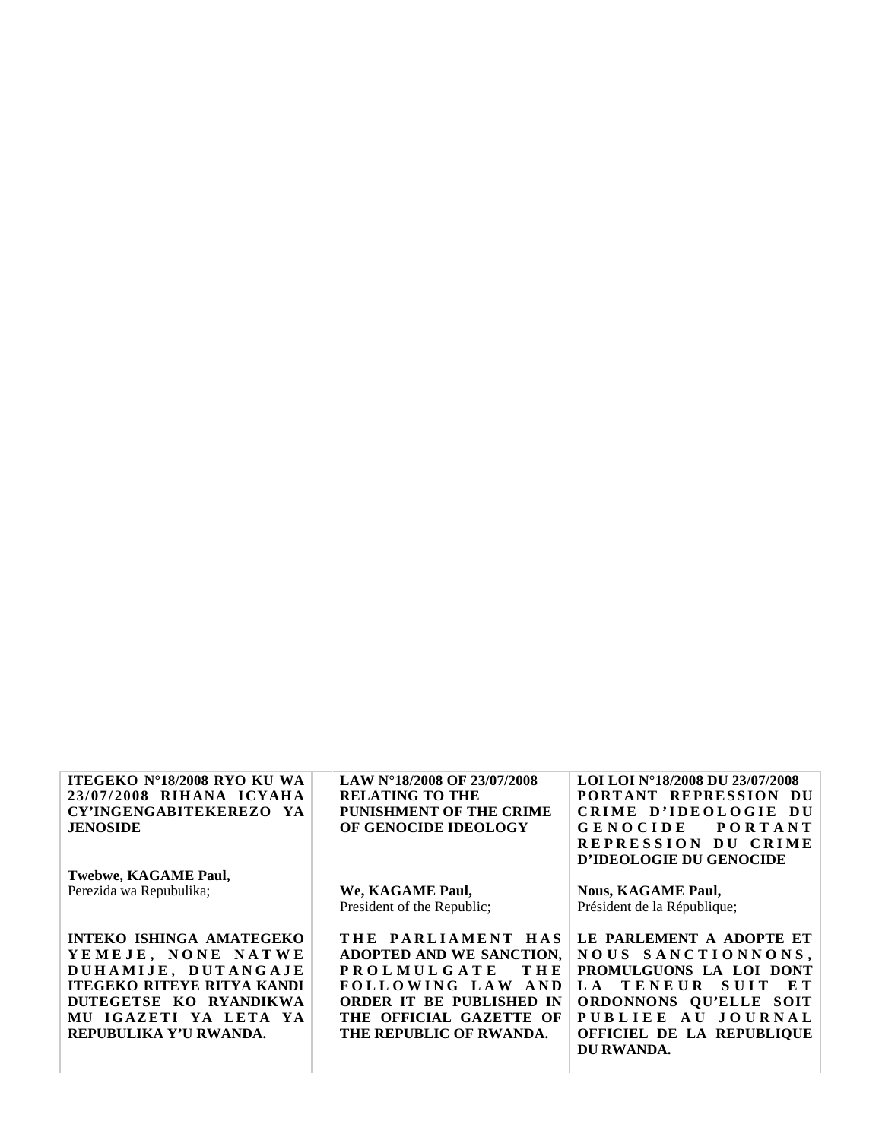| <b>ITEGEKO Nº18/2008 RYO KU WA</b> | LAW N°18/2008 OF 23/07/2008 | LOI LOI N°18/2008 DU 23/07/2008       |
|------------------------------------|-----------------------------|---------------------------------------|
| 23/07/2008 RIHANA ICYAHA           | <b>RELATING TO THE</b>      | PORTANT REPRESSION DU                 |
| CY'INGENGABITEKEREZO YA            | PUNISHMENT OF THE CRIME     | CRIME D'IDEOLOGIE<br>-DU              |
| <b>JENOSIDE</b>                    | OF GENOCIDE IDEOLOGY        | <b>GENOCIDE</b><br><b>PORTANT</b>     |
|                                    |                             | REPRESSION DU CRIME                   |
|                                    |                             | D'IDEOLOGIE DU GENOCIDE               |
| Twebwe, KAGAME Paul,               |                             |                                       |
| Perezida wa Repubulika;            | We, KAGAME Paul,            | <b>Nous, KAGAME Paul,</b>             |
|                                    | President of the Republic;  | Président de la République;           |
|                                    |                             |                                       |
| <b>INTEKO ISHINGA AMATEGEKO</b>    | THE PARLIAMENT HAS          | LE PARLEMENT A ADOPTE ET              |
| YEMEJE, NONE NATWE                 | ADOPTED AND WE SANCTION,    | NOUS SANCTIONNONS,                    |
| DUHAMIJE, DUTANGAJE                | <b>PROLMULGATE</b><br>THE   | PROMULGUONS LA LOI DONT               |
| <b>ITEGEKO RITEYE RITYA KANDI</b>  | FOLLOWING LAW AND           | TENEUR<br>$L_A$<br><b>SUIT</b><br>E T |
| DUTEGETSE KO RYANDIKWA             | ORDER IT BE PUBLISHED IN    | ORDONNONS QU'ELLE SOIT                |
| MU IGAZETI YA LETA YA              | THE OFFICIAL GAZETTE OF     | AU JOURNAL<br><b>PUBLIEE</b>          |
| REPUBULIKA Y'U RWANDA.             | THE REPUBLIC OF RWANDA.     | OFFICIEL DE LA REPUBLIQUE             |
|                                    |                             | DU RWANDA.                            |
|                                    |                             |                                       |
|                                    |                             |                                       |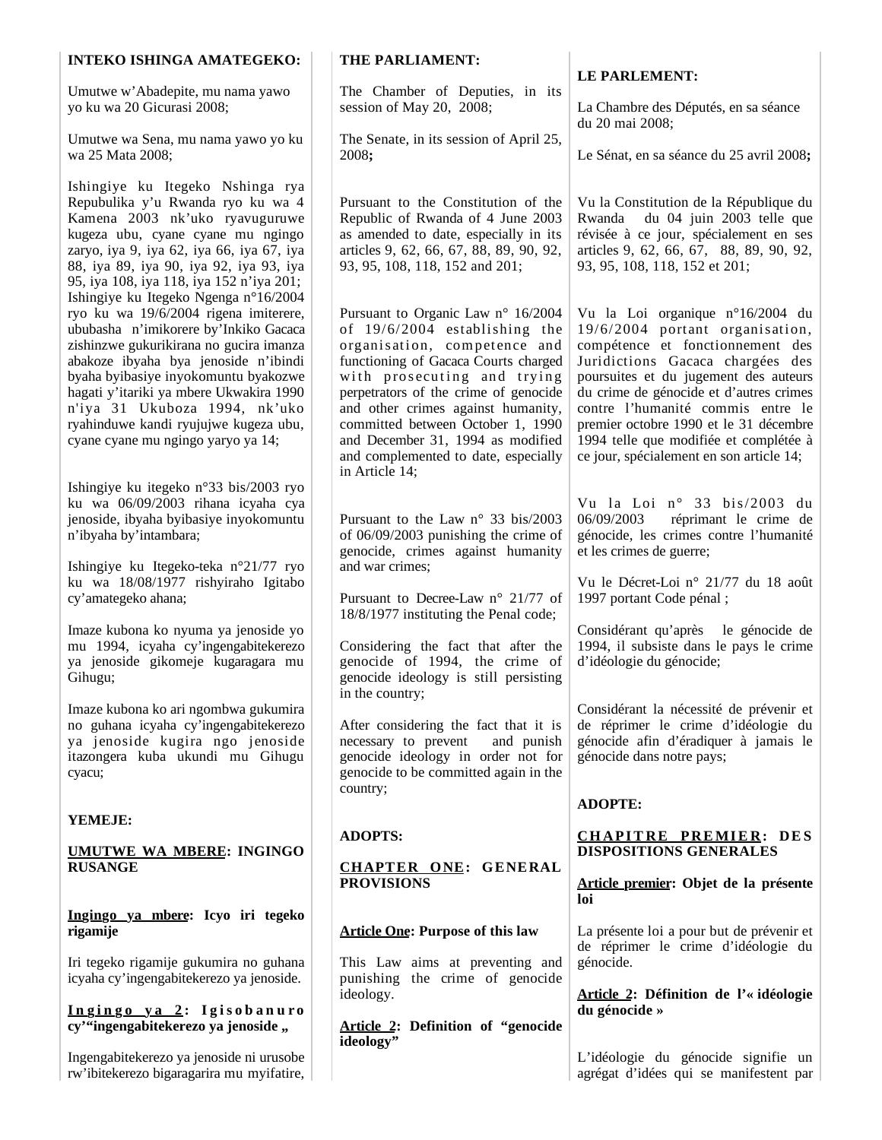| <b>INTEKO ISHINGA AMATEGEKO:</b>                                                                                                                                                                                                                                                                                                                                                                              | THE PARLIAMENT:                                                                                                                                                                                                                                                                                                                                                                               |                                                                                                                                                                                                                                                                                                                                                                                                      |
|---------------------------------------------------------------------------------------------------------------------------------------------------------------------------------------------------------------------------------------------------------------------------------------------------------------------------------------------------------------------------------------------------------------|-----------------------------------------------------------------------------------------------------------------------------------------------------------------------------------------------------------------------------------------------------------------------------------------------------------------------------------------------------------------------------------------------|------------------------------------------------------------------------------------------------------------------------------------------------------------------------------------------------------------------------------------------------------------------------------------------------------------------------------------------------------------------------------------------------------|
| Umutwe w'Abadepite, mu nama yawo                                                                                                                                                                                                                                                                                                                                                                              | The Chamber of Deputies, in its                                                                                                                                                                                                                                                                                                                                                               | <b>LE PARLEMENT:</b>                                                                                                                                                                                                                                                                                                                                                                                 |
| yo ku wa 20 Gicurasi 2008;                                                                                                                                                                                                                                                                                                                                                                                    | session of May 20, 2008;                                                                                                                                                                                                                                                                                                                                                                      | La Chambre des Députés, en sa séance<br>du 20 mai 2008;                                                                                                                                                                                                                                                                                                                                              |
| Umutwe wa Sena, mu nama yawo yo ku<br>wa 25 Mata 2008;                                                                                                                                                                                                                                                                                                                                                        | The Senate, in its session of April 25,<br>2008;                                                                                                                                                                                                                                                                                                                                              | Le Sénat, en sa séance du 25 avril 2008;                                                                                                                                                                                                                                                                                                                                                             |
| Ishingiye ku Itegeko Nshinga rya<br>Repubulika y'u Rwanda ryo ku wa 4<br>Kamena 2003 nk'uko ryavuguruwe<br>kugeza ubu, cyane cyane mu ngingo<br>zaryo, iya 9, iya 62, iya 66, iya 67, iya<br>88, iya 89, iya 90, iya 92, iya 93, iya<br>95, iya 108, iya 118, iya 152 n'iya 201;                                                                                                                              | Pursuant to the Constitution of the<br>Republic of Rwanda of 4 June 2003<br>as amended to date, especially in its<br>articles 9, 62, 66, 67, 88, 89, 90, 92,<br>93, 95, 108, 118, 152 and 201;                                                                                                                                                                                                | Vu la Constitution de la République du<br>Rwanda du 04 juin 2003 telle que<br>révisée à ce jour, spécialement en ses<br>articles 9, 62, 66, 67, 88, 89, 90, 92,<br>93, 95, 108, 118, 152 et 201;                                                                                                                                                                                                     |
| Ishingiye ku Itegeko Ngenga n°16/2004<br>ryo ku wa 19/6/2004 rigena imiterere,<br>ububasha n'imikorere by'Inkiko Gacaca<br>zishinzwe gukurikirana no gucira imanza<br>abakoze ibyaha bya jenoside n'ibindi<br>byaha byibasiye inyokomuntu byakozwe<br>hagati y'itariki ya mbere Ukwakira 1990<br>n'iya 31 Ukuboza 1994, nk'uko<br>ryahinduwe kandi ryujujwe kugeza ubu,<br>cyane cyane mu ngingo yaryo ya 14; | Pursuant to Organic Law n° 16/2004<br>of 19/6/2004 establishing the<br>organisation, competence and<br>functioning of Gacaca Courts charged<br>with prosecuting and trying<br>perpetrators of the crime of genocide<br>and other crimes against humanity,<br>committed between October 1, 1990<br>and December 31, 1994 as modified<br>and complemented to date, especially<br>in Article 14; | Vu la Loi organique n°16/2004 du<br>19/6/2004 portant organisation,<br>compétence et fonctionnement des<br>Juridictions Gacaca chargées des<br>poursuites et du jugement des auteurs<br>du crime de génocide et d'autres crimes<br>contre l'humanité commis entre le<br>premier octobre 1990 et le 31 décembre<br>1994 telle que modifiée et complétée à<br>ce jour, spécialement en son article 14; |
| Ishingiye ku itegeko n°33 bis/2003 ryo<br>ku wa 06/09/2003 rihana icyaha cya<br>jenoside, ibyaha byibasiye inyokomuntu<br>n'ibyaha by'intambara;                                                                                                                                                                                                                                                              | Pursuant to the Law $n^{\circ}$ 33 bis/2003<br>of 06/09/2003 punishing the crime of<br>genocide, crimes against humanity                                                                                                                                                                                                                                                                      | Vu la Loi nº 33 bis/2003 du<br>06/09/2003<br>réprimant le crime de<br>génocide, les crimes contre l'humanité<br>et les crimes de guerre;                                                                                                                                                                                                                                                             |
| Ishingiye ku Itegeko-teka n°21/77 ryo<br>ku wa 18/08/1977 rishyiraho Igitabo<br>cy'amategeko ahana;                                                                                                                                                                                                                                                                                                           | and war crimes;<br>Pursuant to Decree-Law n° 21/77 of<br>18/8/1977 instituting the Penal code;                                                                                                                                                                                                                                                                                                | Vu le Décret-Loi nº 21/77 du 18 août<br>1997 portant Code pénal;                                                                                                                                                                                                                                                                                                                                     |
| Imaze kubona ko nyuma ya jenoside yo<br>mu 1994, icyaha cy'ingengabitekerezo<br>ya jenoside gikomeje kugaragara mu<br>Gihugu;                                                                                                                                                                                                                                                                                 | Considering the fact that after the<br>genocide of 1994, the crime of<br>genocide ideology is still persisting<br>in the country;                                                                                                                                                                                                                                                             | Considérant qu'après<br>le génocide de<br>1994, il subsiste dans le pays le crime<br>d'idéologie du génocide;                                                                                                                                                                                                                                                                                        |
| Imaze kubona ko ari ngombwa gukumira<br>no guhana icyaha cy'ingengabitekerezo<br>ya jenoside kugira ngo jenoside<br>itazongera kuba ukundi mu Gihugu<br>cyacu;                                                                                                                                                                                                                                                | After considering the fact that it is<br>necessary to prevent<br>and punish<br>genocide ideology in order not for<br>genocide to be committed again in the<br>country;                                                                                                                                                                                                                        | Considérant la nécessité de prévenir et<br>de réprimer le crime d'idéologie du<br>génocide afin d'éradiquer à jamais le<br>génocide dans notre pays;                                                                                                                                                                                                                                                 |
| YEMEJE:                                                                                                                                                                                                                                                                                                                                                                                                       |                                                                                                                                                                                                                                                                                                                                                                                               | <b>ADOPTE:</b>                                                                                                                                                                                                                                                                                                                                                                                       |
| <b>UMUTWE WA MBERE: INGINGO</b><br><b>RUSANGE</b>                                                                                                                                                                                                                                                                                                                                                             | <b>ADOPTS:</b><br><b>CHAPTER ONE: GENERAL</b>                                                                                                                                                                                                                                                                                                                                                 | <b>CHAPITRE PREMIER: DES</b><br>DISPOSITIONS GENERALES                                                                                                                                                                                                                                                                                                                                               |
|                                                                                                                                                                                                                                                                                                                                                                                                               | <b>PROVISIONS</b>                                                                                                                                                                                                                                                                                                                                                                             | Article premier: Objet de la présente<br>loi                                                                                                                                                                                                                                                                                                                                                         |
| Ingingo ya mbere: Icyo iri tegeko<br>rigamije                                                                                                                                                                                                                                                                                                                                                                 | <b>Article One: Purpose of this law</b>                                                                                                                                                                                                                                                                                                                                                       | La présente loi a pour but de prévenir et<br>de réprimer le crime d'idéologie du                                                                                                                                                                                                                                                                                                                     |
| Iri tegeko rigamije gukumira no guhana<br>icyaha cy'ingengabitekerezo ya jenoside.                                                                                                                                                                                                                                                                                                                            | This Law aims at preventing and<br>punishing the crime of genocide<br>ideology.                                                                                                                                                                                                                                                                                                               | génocide.<br>Article 2: Définition de l'« idéologie                                                                                                                                                                                                                                                                                                                                                  |
| Ingingo ya 2: Igisobanuro<br>cy'"ingengabitekerezo ya jenoside,                                                                                                                                                                                                                                                                                                                                               | Article 2: Definition of "genocide                                                                                                                                                                                                                                                                                                                                                            | du génocide »                                                                                                                                                                                                                                                                                                                                                                                        |
| Ingengabitekerezo ya jenoside ni urusobe<br>rw'ibitekerezo bigaragarira mu myifatire,                                                                                                                                                                                                                                                                                                                         | ideology"                                                                                                                                                                                                                                                                                                                                                                                     | L'idéologie du génocide signifie un<br>agrégat d'idées qui se manifestent par                                                                                                                                                                                                                                                                                                                        |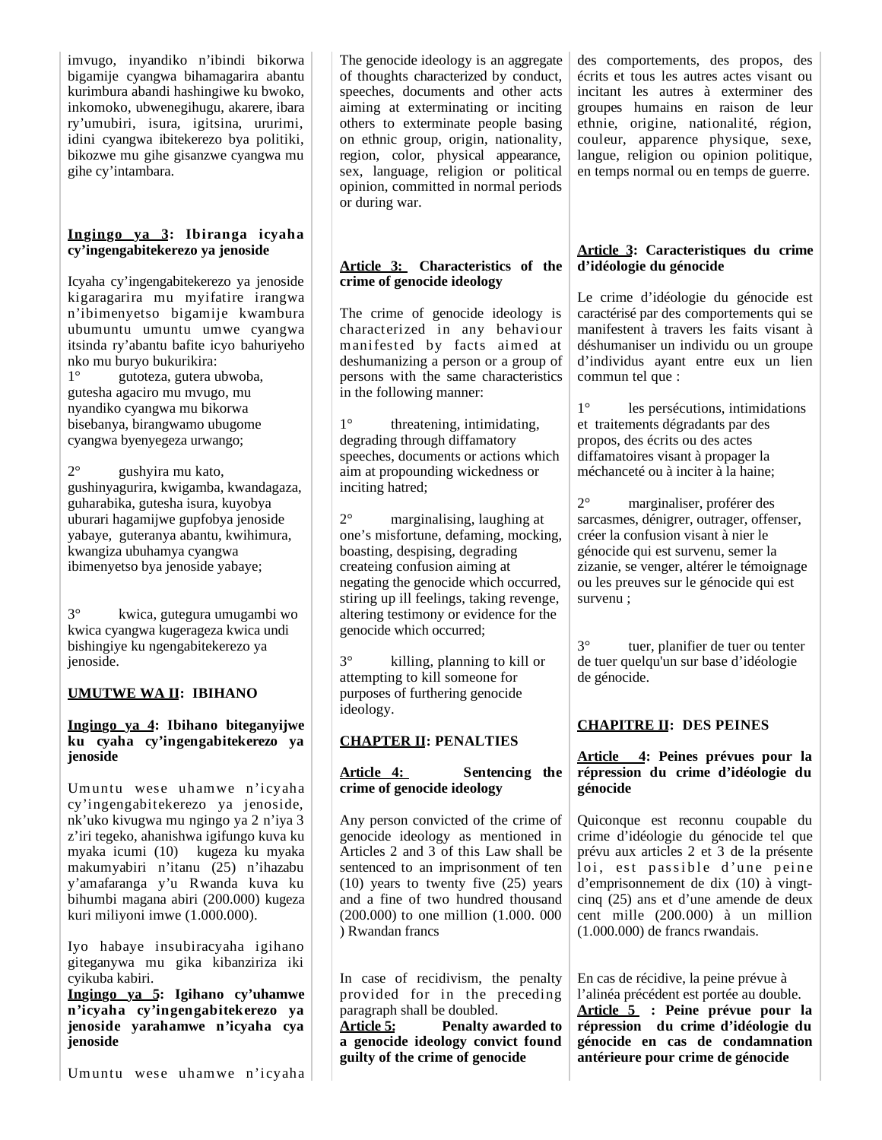imvugo, inyandiko n'ibindi bikorwa bigamije cyangwa bihamagarira abantu kurimbura abandi hashingiwe ku bwoko, inkomoko, ubwenegihugu, akarere, ibara ry'umubiri, isura, igitsina, ururimi, idini cyangwa ibitekerezo bya politiki, bikozwe mu gihe gisanzwe cyangwa mu gihe cy'intambara.

### **Ingingo ya 3: Ibiranga icyaha cy'ingengabitekerezo ya jenoside**

Icyaha cy'ingengabitekerezo ya jenoside kigaragarira mu myifatire irangwa n'ibimenyetso bigamije kwambura ubumuntu umuntu umwe cyangwa itsinda ry'abantu bafite icyo bahuriyeho nko mu buryo bukurikira: 1° gutoteza, gutera ubwoba, gutesha agaciro mu mvugo, mu nyandiko cyangwa mu bikorwa bisebanya, birangwamo ubugome cyangwa byenyegeza urwango;

2° gushyira mu kato, gushinyagurira, kwigamba, kwandagaza, guharabika, gutesha isura, kuyobya uburari hagamijwe gupfobya jenoside yabaye, guteranya abantu, kwihimura, kwangiza ubuhamya cyangwa ibimenyetso bya jenoside yabaye;

3° kwica, gutegura umugambi wo kwica cyangwa kugerageza kwica undi bishingiye ku ngengabitekerezo ya jenoside.

## **UMUTWE WA II: IBIHANO**

**Ingingo ya 4: Ibihano biteganyijwe ku cyaha cy'ingengabitekerezo ya jenoside**

Umuntu wese uhamwe n'icyaha cy'ingengabitekerezo ya jenoside, nk'uko kivugwa mu ngingo ya 2 n'iya 3 z'iri tegeko, ahanishwa igifungo kuva ku myaka icumi (10) kugeza ku myaka makumyabiri n'itanu (25) n'ihazabu y'amafaranga y'u Rwanda kuva ku bihumbi magana abiri (200.000) kugeza kuri miliyoni imwe (1.000.000).

Iyo habaye insubiracyaha igihano giteganywa mu gika kibanziriza iki cyikuba kabiri.

**Ingingo ya 5: Igihano cy'uhamwe n'icyaha cy'ingengabitekerezo ya jenoside yarahamwe n'icyaha cya jenoside** 

Umuntu wese uhamwe n'icyaha

The genocide ideology is an aggregate of thoughts characterized by conduct, speeches, documents and other acts aiming at exterminating or inciting others to exterminate people basing on ethnic group, origin, nationality, region, color, physical appearance, sex, language, religion or political opinion, committed in normal periods or during war.

## **Article 3: Characteristics of the crime of genocide ideology**

The crime of genocide ideology is characterized in any behaviour manifested by facts aimed at deshumanizing a person or a group of persons with the same characteristics in the following manner:

1° threatening, intimidating, degrading through diffamatory speeches, documents or actions which aim at propounding wickedness or inciting hatred;

2° marginalising, laughing at one's misfortune, defaming, mocking, boasting, despising, degrading createing confusion aiming at negating the genocide which occurred, stiring up ill feelings, taking revenge, altering testimony or evidence for the genocide which occurred;

3° killing, planning to kill or attempting to kill someone for purposes of furthering genocide ideology.

# **CHAPTER II: PENALTIES**

**Article 4: Sentencing the crime of genocide ideology**

Any person convicted of the crime of genocide ideology as mentioned in Articles 2 and 3 of this Law shall be sentenced to an imprisonment of ten (10) years to twenty five (25) years and a fine of two hundred thousand (200.000) to one million (1.000. 000 ) Rwandan francs

In case of recidivism, the penalty provided for in the preceding paragraph shall be doubled.

**Article 5: Penalty awarded to a genocide ideology convict found guilty of the crime of genocide** 

des comportements, des propos, des écrits et tous les autres actes visant ou incitant les autres à exterminer des groupes humains en raison de leur ethnie, origine, nationalité, région, couleur, apparence physique, sexe, langue, religion ou opinion politique, en temps normal ou en temps de guerre.

### **Article 3: Caracteristiques du crime d'idéologie du génocide**

Le crime d'idéologie du génocide est caractérisé par des comportements qui se manifestent à travers les faits visant à déshumaniser un individu ou un groupe d'individus ayant entre eux un lien commun tel que :

1° les persécutions, intimidations et traitements dégradants par des propos, des écrits ou des actes diffamatoires visant à propager la méchanceté ou à inciter à la haine;

2° marginaliser, proférer des sarcasmes, dénigrer, outrager, offenser, créer la confusion visant à nier le génocide qui est survenu, semer la zizanie, se venger, altérer le témoignage ou les preuves sur le génocide qui est survenu ;

3° tuer, planifier de tuer ou tenter de tuer quelqu'un sur base d'idéologie de génocide.

# **CHAPITRE II: DES PEINES**

### **Article 4: Peines prévues pour la répression du crime d'idéologie du génocide**

Quiconque est reconnu coupable du crime d'idéologie du génocide tel que prévu aux articles 2 et 3 de la présente loi, est passible d'une peine d'emprisonnement de dix (10) à vingtcinq (25) ans et d'une amende de deux cent mille (200.000) à un million (1.000.000) de francs rwandais.

En cas de récidive, la peine prévue à l'alinéa précédent est portée au double. **Article 5 : Peine prévue pour la répression du crime d'idéologie du génocide en cas de condamnation antérieure pour crime de génocide**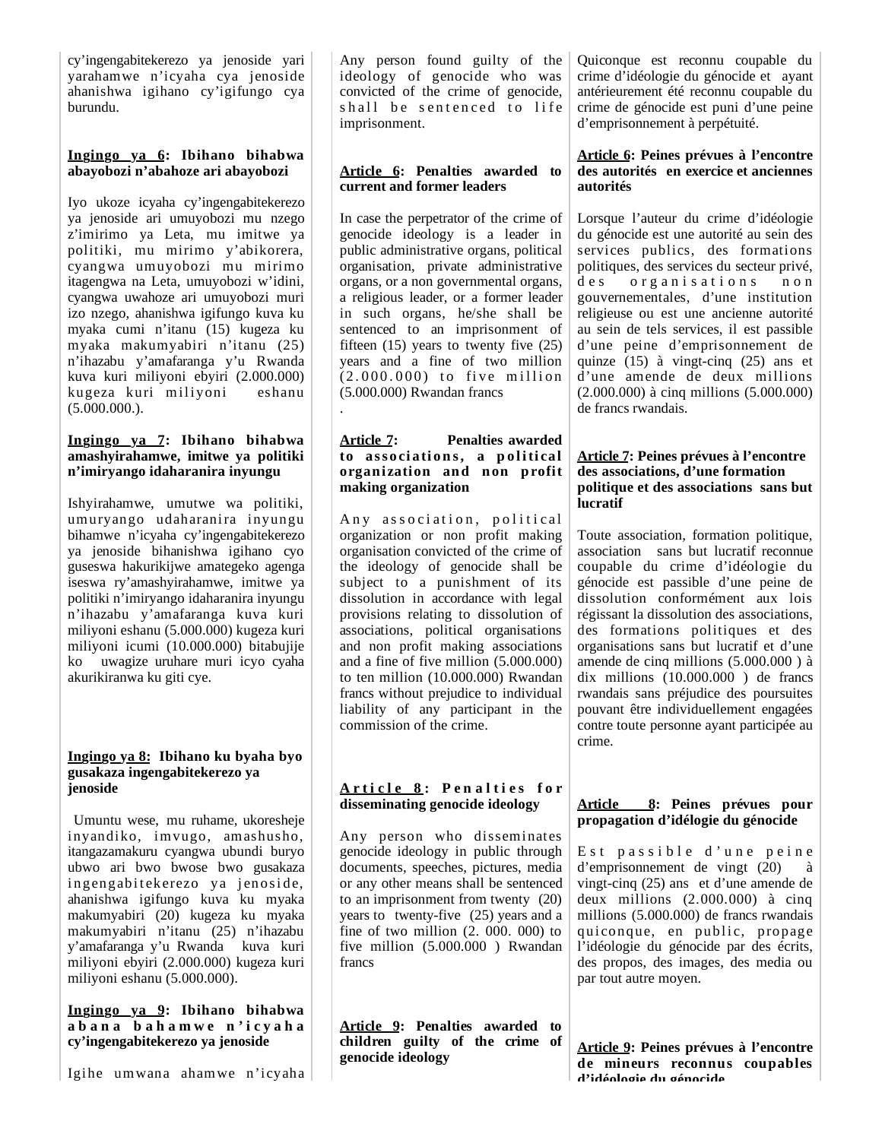cy'ingengabitekerezo ya jenoside yari yarahamwe n'icyaha cya jenoside ahanishwa igihano cy'igifungo cya burundu.

## **Ingingo ya 6: Ibihano bihabwa abayobozi n'abahoze ari abayobozi**

Iyo ukoze icyaha cy'ingengabitekerezo ya jenoside ari umuyobozi mu nzego z'imirimo ya Leta, mu imitwe ya politiki, mu mirimo y'abikorera, cyangwa umuyobozi mu mirimo itagengwa na Leta, umuyobozi w'idini, cyangwa uwahoze ari umuyobozi muri izo nzego, ahanishwa igifungo kuva ku myaka cumi n'itanu (15) kugeza ku myaka makumyabiri n'itanu (25) n'ihazabu y'amafaranga y'u Rwanda kuva kuri miliyoni ebyiri (2.000.000) kugeza kuri miliyoni eshanu  $(5.000.000)$ .

## **Ingingo ya 7: Ibihano bihabwa amashyirahamwe, imitwe ya politiki n'imiryango idaharanira inyungu**

Ishyirahamwe, umutwe wa politiki, umuryango udaharanira inyungu bihamwe n'icyaha cy'ingengabitekerezo ya jenoside bihanishwa igihano cyo guseswa hakurikijwe amategeko agenga iseswa ry'amashyirahamwe, imitwe ya politiki n'imiryango idaharanira inyungu n'ihazabu y'amafaranga kuva kuri miliyoni eshanu (5.000.000) kugeza kuri miliyoni icumi (10.000.000) bitabujije ko uwagize uruhare muri icyo cyaha akurikiranwa ku giti cye.

### **Ingingo ya 8: Ibihano ku byaha byo gusakaza ingengabitekerezo ya jenoside**

 Umuntu wese, mu ruhame, ukoresheje inyandiko, imvugo, amashusho, itangazamakuru cyangwa ubundi buryo ubwo ari bwo bwose bwo gusakaza ingengabitekerezo ya jenoside, ahanishwa igifungo kuva ku myaka makumyabiri (20) kugeza ku myaka makumyabiri n'itanu (25) n'ihazabu y'amafaranga y'u Rwanda kuva kuri miliyoni ebyiri (2.000.000) kugeza kuri miliyoni eshanu (5.000.000).

**Ingingo ya 9: Ibihano bihabwa a b a n a b a h a m w e n ' i c y a h a cy'ingengabitekerezo ya jenoside**

Igihe umwana ahamwe n'icyaha

Any person found guilty of the ideology of genocide who was convicted of the crime of genocide, shall be sentenced to life imprisonment.

## **Article 6: Penalties awarded to current and former leaders**

In case the perpetrator of the crime of genocide ideology is a leader in public administrative organs, political organisation, private administrative organs, or a non governmental organs, a religious leader, or a former leader in such organs, he/she shall be sentenced to an imprisonment of fifteen  $(15)$  years to twenty five  $(25)$ years and a fine of two million  $(2.000.000)$  to five million (5.000.000) Rwandan francs .

## **Article 7: Penalties awarded to association s, a p olitical organization and non profit making organization**

Any association, political organization or non profit making organisation convicted of the crime of the ideology of genocide shall be subject to a punishment of its dissolution in accordance with legal provisions relating to dissolution of associations, political organisations and non profit making associations and a fine of five million (5.000.000) to ten million (10.000.000) Rwandan francs without prejudice to individual liability of any participant in the commission of the crime.

## **A r t i c l e 8 : P e n a l t i e s f o r disseminating genocide ideology**

Any person who disseminates genocide ideology in public through documents, speeches, pictures, media or any other means shall be sentenced to an imprisonment from twenty (20) years to twenty-five (25) years and a fine of two million (2. 000. 000) to five million (5.000.000 ) Rwandan francs

**Article 9: Penalties awarded to children guilty of the crime of genocide ideology** 

Quiconque est reconnu coupable du crime d'idéologie du génocide et ayant antérieurement été reconnu coupable du crime de génocide est puni d'une peine d'emprisonnement à perpétuité.

### **Article 6: Peines prévues à l'encontre des autorités en exercice et anciennes autorités**

Lorsque l'auteur du crime d'idéologie du génocide est une autorité au sein des services publics, des formations politiques, des services du secteur privé, des organisations non gouvernementales, d'une institution religieuse ou est une ancienne autorité au sein de tels services, il est passible d'une peine d'emprisonnement de quinze (15) à vingt-cinq (25) ans et d'une amende de deux millions (2.000.000) à cinq millions (5.000.000) de francs rwandais.

## **Article 7: Peines prévues à l'encontre des associations, d'une formation politique et des associations sans but lucratif**

Toute association, formation politique, association sans but lucratif reconnue coupable du crime d'idéologie du génocide est passible d'une peine de dissolution conformément aux lois régissant la dissolution des associations, des formations politiques et des organisations sans but lucratif et d'une amende de cinq millions (5.000.000 ) à dix millions (10.000.000 ) de francs rwandais sans préjudice des poursuites pouvant être individuellement engagées contre toute personne ayant participée au crime.

## **Article 8: Peines prévues pour propagation d'idélogie du génocide**

Est passible d'une peine  $d'$ emprisonnement de vingt  $(20)$ vingt-cinq (25) ans et d'une amende de deux millions (2.000.000) à cinq millions (5.000.000) de francs rwandais qui conque, en public, propage l'idéologie du génocide par des écrits, des propos, des images, des media ou par tout autre moyen.

**Article 9: Peines prévues à l'encontre de mineurs reconnus coupables d'idéologie du génocide**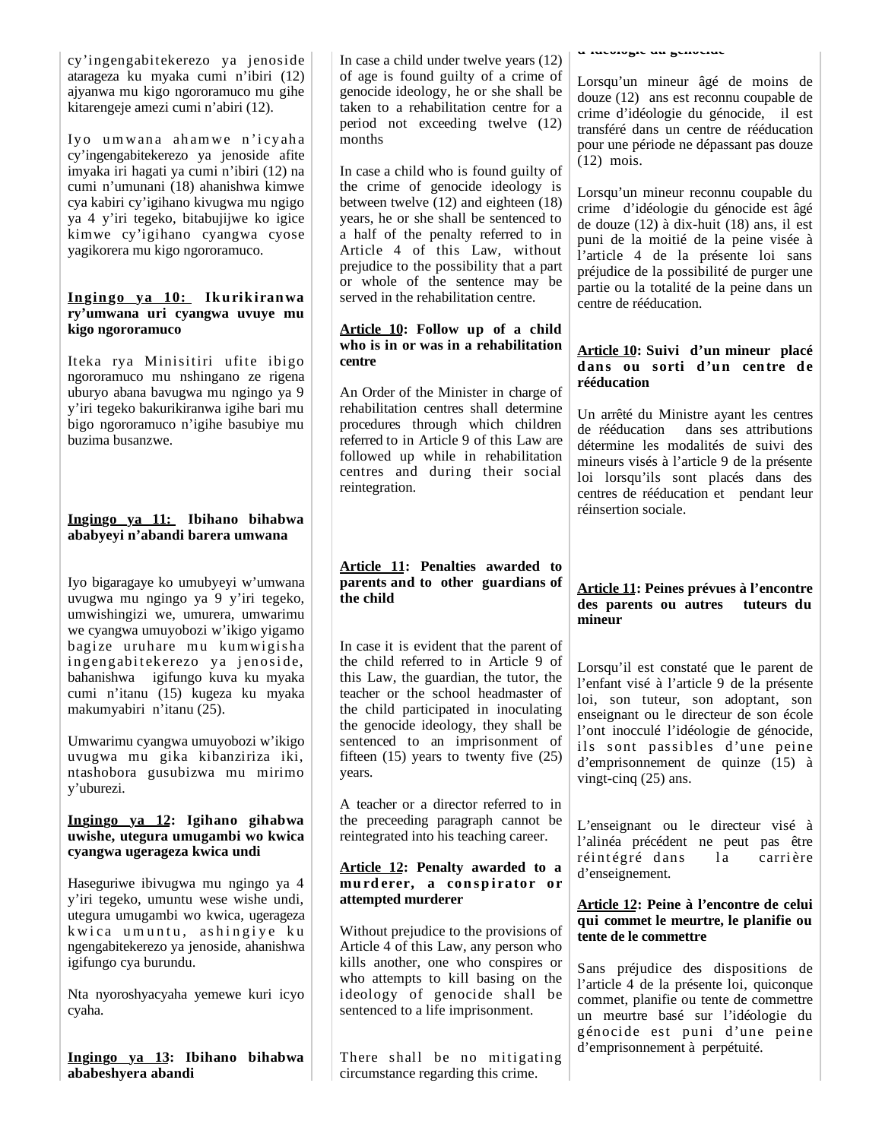| cy'ingengabitekerezo ya jenoside     |
|--------------------------------------|
| atarageza ku myaka cumi n'ibiri (12) |
| ajyanwa mu kigo ngororamuco mu gihe  |
| kitarengeje amezi cumi n'abiri (12). |

Iyo umwana ahamwe n'icyaha cy'ingengabitekerezo ya jenoside afite imyaka iri hagati ya cumi n'ibiri (12) na cumi n'umunani (18) ahanishwa kimwe cya kabiri cy'igihano kivugwa mu ngigo ya 4 y'iri tegeko, bitabujijwe ko igice kimwe cy'igihano cyangwa cyose yagikorera mu kigo ngororamuco.

#### **In gin go ya 10: Ikurikiranwa ry'umwana uri cyangwa uvuye mu kigo ngororamuco**

Iteka rya Minisitiri ufite ibigo ngororamuco mu nshingano ze rigena uburyo abana bavugwa mu ngingo ya 9 y'iri tegeko bakurikiranwa igihe bari mu bigo ngororamuco n'igihe basubiye mu buzima busanzwe.

## **Ingingo ya 11: Ibihano bihabwa ababyeyi n'abandi barera umwana**

Iyo bigaragaye ko umubyeyi w'umwana uvugwa mu ngingo ya 9 y'iri tegeko, umwishingizi we, umurera, umwarimu we cyangwa umuyobozi w'ikigo yigamo bagize uruhare mu kumwigisha ingengabitekerezo ya jenoside, bahanishwa igifungo kuva ku myaka cumi n'itanu (15) kugeza ku myaka makumyabiri n'itanu (25).

Umwarimu cyangwa umuyobozi w'ikigo uvugwa mu gika kibanziriza iki, ntashobora gusubizwa mu mirimo y'uburezi.

### **Ingingo ya 12: Igihano gihabwa uwishe, utegura umugambi wo kwica cyangwa ugerageza kwica undi**

Haseguriwe ibivugwa mu ngingo ya 4 y'iri tegeko, umuntu wese wishe undi, utegura umugambi wo kwica, ugerageza kwica umuntu, ashingiye ku ngengabitekerezo ya jenoside, ahanishwa igifungo cya burundu.

Nta nyoroshyacyaha yemewe kuri icyo cyaha.

**Ingingo ya 13: Ibihano bihabwa ababeshyera abandi**

In case a child under twelve years (12) of age is found guilty of a crime of genocide ideology, he or she shall be taken to a rehabilitation centre for a period not exceeding twelve (12) months

In case a child who is found guilty of the crime of genocide ideology is between twelve (12) and eighteen (18) years, he or she shall be sentenced to a half of the penalty referred to in Article 4 of this Law, without prejudice to the possibility that a part or whole of the sentence may be served in the rehabilitation centre.

## **Article 10: Follow up of a child who is in or was in a rehabilitation centre**

An Order of the Minister in charge of rehabilitation centres shall determine procedures through which children referred to in Article 9 of this Law are followed up while in rehabilitation centres and during their social reintegration.

## **Article 11: Penalties awarded to parents and to other guardians of the child**

In case it is evident that the parent of the child referred to in Article 9 of this Law, the guardian, the tutor, the teacher or the school headmaster of the child participated in inoculating the genocide ideology, they shall be sentenced to an imprisonment of fifteen  $(15)$  years to twenty five  $(25)$ years.

A teacher or a director referred to in the preceeding paragraph cannot be reintegrated into his teaching career.

## **Article 12: Penalty awarded to a**  murd erer, a conspirator or **attempted murderer**

Without prejudice to the provisions of Article 4 of this Law, any person who kills another, one who conspires or who attempts to kill basing on the ideology of genocide shall be sentenced to a life imprisonment.

There shall be no mitigating circumstance regarding this crime.

**d idéologie du génocide**

| Lorsqu'un mineur âgé de moins de        |  |  |  |
|-----------------------------------------|--|--|--|
| douze (12) ans est reconnu coupable de  |  |  |  |
| crime d'idéologie du génocide, il est   |  |  |  |
| transféré dans un centre de rééducation |  |  |  |
| pour une période ne dépassant pas douze |  |  |  |
| $(12)$ mois.                            |  |  |  |

Lorsqu'un mineur reconnu coupable du crime d'idéologie du génocide est âgé de douze (12) à dix-huit (18) ans, il est puni de la moitié de la peine visée à l'article 4 de la présente loi sans préjudice de la possibilité de purger une partie ou la totalité de la peine dans un centre de rééducation.

## **Article 10: Suivi d'un mineur placé dans ou sorti d'un centre de rééducation**

Un arrêté du Ministre ayant les centres de rééducation dans ses attributions détermine les modalités de suivi des mineurs visés à l'article 9 de la présente loi lorsqu'ils sont placés dans des centres de rééducation et pendant leur réinsertion sociale.

## **Article 11: Peines prévues à l'encontre des parents ou autres tuteurs du mineur**

Lorsqu'il est constaté que le parent de l'enfant visé à l'article 9 de la présente loi, son tuteur, son adoptant, son enseignant ou le directeur de son école l'ont inocculé l'idéologie de génocide, ils sont passibles d'une peine d'emprisonnement de quinze (15) à vingt-cinq (25) ans.

L'enseignant ou le directeur visé à l'alinéa précédent ne peut pas être réintégré dans la carrière d'enseignement.

### **Article 12: Peine à l'encontre de celui qui commet le meurtre, le planifie ou tente de le commettre**

Sans préjudice des dispositions de l'article 4 de la présente loi, quiconque commet, planifie ou tente de commettre un meurtre basé sur l'idéologie du génocide est puni d'une peine d'emprisonnement à perpétuité.